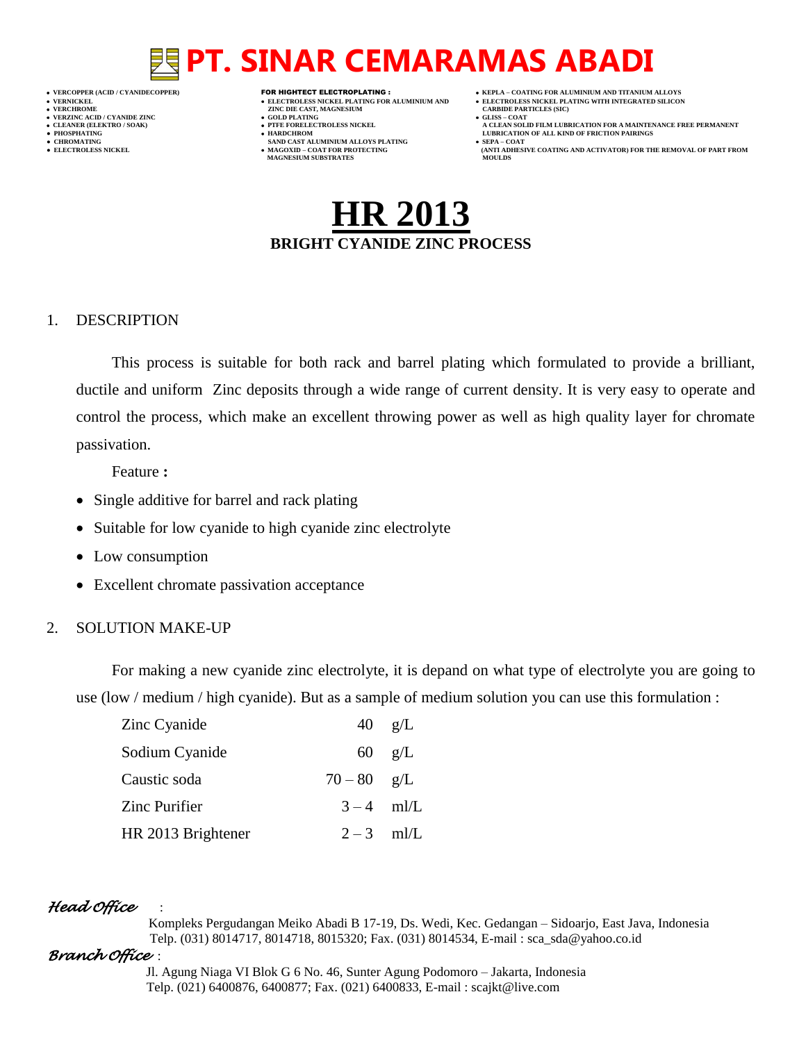## **PT. SINAR CEMARAMAS ABADI**

- 
- 
- 

- **VERT ASSESSED ASSESSED ASSESSED ASSESSED ASSESSED ASSESSED ASSESSED ASSESSED ASSESSED ASSESSED ASSESSED ASSESSED ASSESSED ASSESSED ASSESSED ASSESSED ASSESSED ASSESSED ASSESSED ASSESSED ASSESSED ASSESSED ASSESSED ASSESSED**
- **VERZINC ACID / CYANIDE ZINC GOLD PLATING GLISS – COAT**
	-
- **● CHROMATING SAND CAST ALUMINIUM ALLOYS PLATING SEPA – COAT MAGNESIUM SUBSTRATES MOULDS**
- **VERCOPPER (ACID / CYANIDECOPPER)** FOR HIGHTECT ELECTROPLATING :  **KEPLA – COATING FOR ALUMINIUM AND TITANIUM ALLOYS**
- **VERNICKEL ELECTROLESS NICKEL PLATING FOR ALUMINIUM AND ELECTROLESS NICKEL PLATING WITH INTEGRATED SILICON**
	-
- **CLEANER (ELEKTRO / SOAK) PTFE FORELECTROLESS NICKEL A CLEAN SOLID FILM LUBRICATION FOR A MAINTENANCE FREE PERMANENT ● PHOSPHATING HARDCHROM LUBRICATION OF ALL KIND OF FRICTION PAIRINGS**
- **• ELECTROLESS NICKEL <b>MAGOXID COAT FOR PROTECTING (ANTI ADDITION** FOR THE REMOVAL OF PART FROM **AND ACTIVATOR**) FOR THE REMOVAL OF PART FROM **AND ACTIVATOR** (ANTI ADHESIVE COATING AND ACTIVATOR) FOR THE REMOVAL OF P

## **HR 2013 BRIGHT CYANIDE ZINC PROCESS**

#### 1. DESCRIPTION

This process is suitable for both rack and barrel plating which formulated to provide a brilliant, ductile and uniform Zinc deposits through a wide range of current density. It is very easy to operate and control the process, which make an excellent throwing power as well as high quality layer for chromate passivation.

Feature **:**

- Single additive for barrel and rack plating
- Suitable for low cyanide to high cyanide zinc electrolyte
- Low consumption
- Excellent chromate passivation acceptance

### 2. SOLUTION MAKE-UP

For making a new cyanide zinc electrolyte, it is depand on what type of electrolyte you are going to use (low / medium / high cyanide). But as a sample of medium solution you can use this formulation :

| Zinc Cyanide       |               | $40 \text{ g/L}$ |
|--------------------|---------------|------------------|
| Sodium Cyanide     |               | $60 \text{ g/L}$ |
| Caustic soda       | $70 - 80$ g/L |                  |
| Zinc Purifier      | $3-4$ ml/L    |                  |
| HR 2013 Brightener | $2-3$ ml/L    |                  |

### *Head Office* :

 Kompleks Pergudangan Meiko Abadi B 17-19, Ds. Wedi, Kec. Gedangan – Sidoarjo, East Java, Indonesia Telp. (031) 8014717, 8014718, 8015320; Fax. (031) 8014534, E-mail : sca\_sda@yahoo.co.id

### *Branch Office* :

 Jl. Agung Niaga VI Blok G 6 No. 46, Sunter Agung Podomoro – Jakarta, Indonesia Telp. (021) 6400876, 6400877; Fax. (021) 6400833, E-mail : scajkt@live.com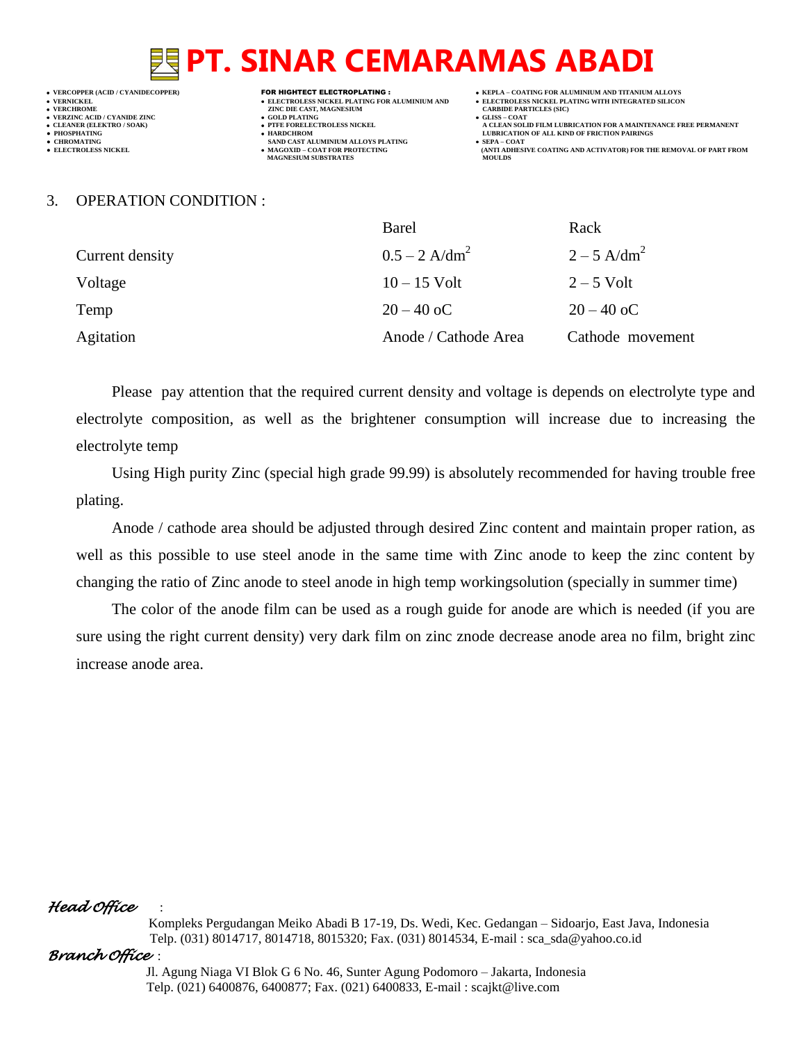## **PT. SINAR CEMARAMAS ABADI**

### **VERZINC ACID / CYANIDE ZINC GOLD PLATING GLISS – COAT**

- 
- 

- **VERFORM ZINC DIE CAST, MAGNESIUM CARBIDE PARTICLES (SIC)**<br> **CARBIDE PARTING**
- 
- 
- **● CHROMATING SAND CAST ALUMINIUM ALLOYS PLATING SEPA – COAT • MAGOXID – COAT FOR PROTECTING<br>MAGNESIUM SUBSTRATES**
- **VERCOPPER (ACID / CYANIDECOPPER)** FOR HIGHTECT ELECTROPLATING :  **KEPLA – COATING FOR ALUMINIUM AND TITANIUM ALLOYS**
- **VERNICKEL ELECTROLESS NICKEL PLATING FOR ALUMINIUM AND ELECTROLESS NICKEL PLATING WITH INTEGRATED SILICON**
	-
- **CLEANER (ELEKTRO / SOAK) PTFE FORELECTROLESS NICKEL A CLEAN SOLID FILM LUBRICATION FOR A MAINTENANCE FREE PERMANENT ● PHOSPHATING HARDCHROM LUBRICATION OF ALL KIND OF FRICTION PAIRINGS** 
	- **ELECTROLESS AND ACTIVATOR) FOR THE REMOVAL OF PART FROM (ANTI ADHESIVE COATING AND ACTIVATOR) FOR THE REMOVAL OF PART FROM**

#### 3. OPERATION CONDITION :

|                 | Barel                       | Rack                      |
|-----------------|-----------------------------|---------------------------|
| Current density | $0.5 - 2$ A/dm <sup>2</sup> | $2 - 5$ A/dm <sup>2</sup> |
| Voltage         | $10 - 15$ Volt              | $2 - 5$ Volt              |
| Temp            | $20 - 40$ oC                | $20 - 40$ oC              |
| Agitation       | Anode / Cathode Area        | Cathode movement          |

Please pay attention that the required current density and voltage is depends on electrolyte type and electrolyte composition, as well as the brightener consumption will increase due to increasing the electrolyte temp

Using High purity Zinc (special high grade 99.99) is absolutely recommended for having trouble free plating.

Anode / cathode area should be adjusted through desired Zinc content and maintain proper ration, as well as this possible to use steel anode in the same time with Zinc anode to keep the zinc content by changing the ratio of Zinc anode to steel anode in high temp workingsolution (specially in summer time)

The color of the anode film can be used as a rough guide for anode are which is needed (if you are sure using the right current density) very dark film on zinc znode decrease anode area no film, bright zinc increase anode area.

#### *Head Office* :

 Kompleks Pergudangan Meiko Abadi B 17-19, Ds. Wedi, Kec. Gedangan – Sidoarjo, East Java, Indonesia Telp. (031) 8014717, 8014718, 8015320; Fax. (031) 8014534, E-mail : sca\_sda@yahoo.co.id

#### *Branch Office* :

 Jl. Agung Niaga VI Blok G 6 No. 46, Sunter Agung Podomoro – Jakarta, Indonesia Telp. (021) 6400876, 6400877; Fax. (021) 6400833, E-mail : scajkt@live.com